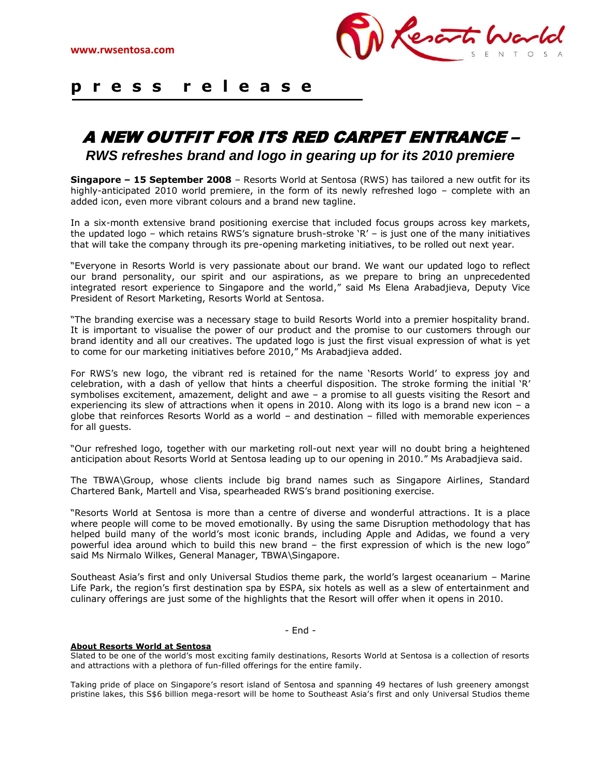

## **p r e s s r e l e a s e**  $\overline{a}$

## A NEW OUTFIT FOR ITS RED CARPET ENTRANCE – *RWS refreshes brand and logo in gearing up for its 2010 premiere*

**Singapore – 15 September 2008** – Resorts World at Sentosa (RWS) has tailored a new outfit for its highly-anticipated 2010 world premiere, in the form of its newly refreshed logo – complete with an added icon, even more vibrant colours and a brand new tagline.

In a six-month extensive brand positioning exercise that included focus groups across key markets, the updated logo – which retains RWS"s signature brush-stroke "R" – is just one of the many initiatives that will take the company through its pre-opening marketing initiatives, to be rolled out next year.

"Everyone in Resorts World is very passionate about our brand. We want our updated logo to reflect our brand personality, our spirit and our aspirations, as we prepare to bring an unprecedented integrated resort experience to Singapore and the world," said Ms Elena Arabadjieva, Deputy Vice President of Resort Marketing, Resorts World at Sentosa.

"The branding exercise was a necessary stage to build Resorts World into a premier hospitality brand. It is important to visualise the power of our product and the promise to our customers through our brand identity and all our creatives. The updated logo is just the first visual expression of what is yet to come for our marketing initiatives before 2010," Ms Arabadjieva added.

For RWS"s new logo, the vibrant red is retained for the name "Resorts World" to express joy and celebration, with a dash of yellow that hints a cheerful disposition. The stroke forming the initial "R" symbolises excitement, amazement, delight and awe – a promise to all guests visiting the Resort and experiencing its slew of attractions when it opens in 2010. Along with its logo is a brand new icon – a globe that reinforces Resorts World as a world – and destination – filled with memorable experiences for all guests.

"Our refreshed logo, together with our marketing roll-out next year will no doubt bring a heightened anticipation about Resorts World at Sentosa leading up to our opening in 2010." Ms Arabadjieva said.

The TBWA\Group, whose clients include big brand names such as Singapore Airlines, Standard Chartered Bank, Martell and Visa, spearheaded RWS"s brand positioning exercise.

"Resorts World at Sentosa is more than a centre of diverse and wonderful attractions. It is a place where people will come to be moved emotionally. By using the same Disruption methodology that has helped build many of the world's most iconic brands, including Apple and Adidas, we found a very powerful idea around which to build this new brand – the first expression of which is the new logo" said Ms Nirmalo Wilkes, General Manager, TBWA\Singapore.

Southeast Asia"s first and only Universal Studios theme park, the world"s largest oceanarium – Marine Life Park, the region's first destination spa by ESPA, six hotels as well as a slew of entertainment and culinary offerings are just some of the highlights that the Resort will offer when it opens in 2010.

- End -

## **About Resorts World at Sentosa**

Slated to be one of the world"s most exciting family destinations, Resorts World at Sentosa is a collection of resorts and attractions with a plethora of fun-filled offerings for the entire family.

Taking pride of place on Singapore"s resort island of Sentosa and spanning 49 hectares of lush greenery amongst pristine lakes, this S\$6 billion mega-resort will be home to Southeast Asia"s first and only Universal Studios theme